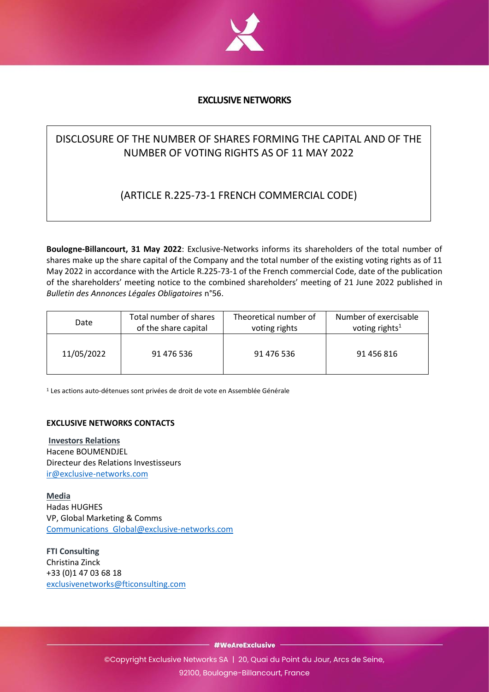

## **EXCLUSIVE NETWORKS**

# DISCLOSURE OF THE NUMBER OF SHARES FORMING THE CAPITAL AND OF THE NUMBER OF VOTING RIGHTS AS OF 11 MAY 2022

## (ARTICLE R.225-73-1 FRENCH COMMERCIAL CODE)

**Boulogne-Billancourt, 31 May 2022**: Exclusive-Networks informs its shareholders of the total number of shares make up the share capital of the Company and the total number of the existing voting rights as of 11 May 2022 in accordance with the Article R.225-73-1 of the French commercial Code, date of the publication of the shareholders' meeting notice to the combined shareholders' meeting of 21 June 2022 published in *Bulletin des Annonces Légales Obligatoires* n°56.

| Date       | Total number of shares | Theoretical number of | Number of exercisable      |
|------------|------------------------|-----------------------|----------------------------|
|            | of the share capital   | voting rights         | voting rights <sup>1</sup> |
| 11/05/2022 | 91 476 536             | 91 476 536            | 91 456 816                 |

<sup>1</sup> Les actions auto-détenues sont privées de droit de vote en Assemblée Générale

### **EXCLUSIVE NETWORKS CONTACTS**

**Investors Relations** Hacene BOUMENDJEL Directeur des Relations Investisseurs [ir@exclusive-networks.com](mailto:ir@exclusive-networks.com)

**Media** Hadas HUGHES VP, Global Marketing & Comms [Communications\\_Global@exclusive-networks.com](mailto:Communications_Global@exclusive-networks.com)

**FTI Consulting** Christina Zinck +33 (0)1 47 03 68 18 [exclusivenetworks@fticonsulting.com](mailto:exclusivenetworks@fticonsulting.com) 

- #WeAreExclusive -

©Copyright Exclusive Networks SA | 20, Quai du Point du Jour, Arcs de Seine, 92100, Boulogne-Billancourt, France